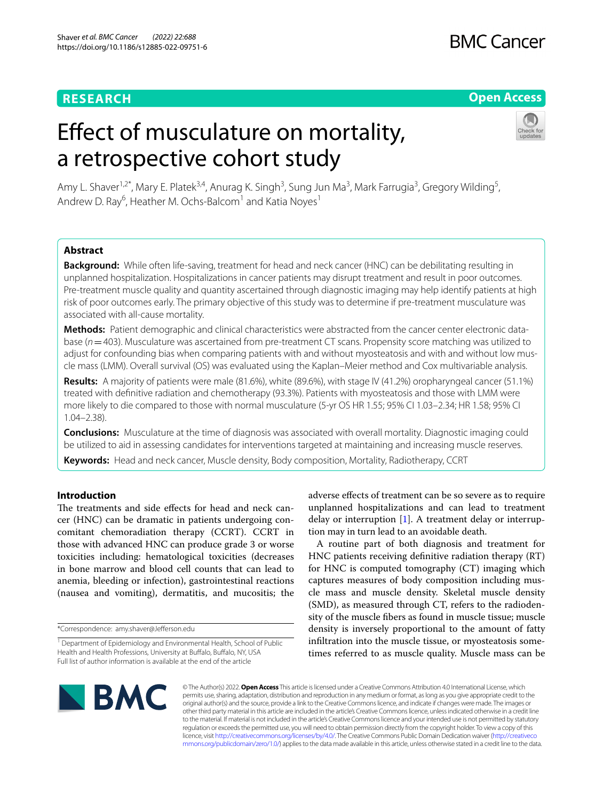#### **RESEARCH**

## **BMC Cancer**

#### **Open Access**

# Efect of musculature on mortality, a retrospective cohort study



Amy L. Shaver<sup>1,2\*</sup>, Mary E. Platek<sup>3,4</sup>, Anurag K. Singh<sup>3</sup>, Sung Jun Ma<sup>3</sup>, Mark Farrugia<sup>3</sup>, Gregory Wilding<sup>5</sup>, Andrew D. Ray<sup>6</sup>, Heather M. Ochs-Balcom<sup>1</sup> and Katia Noyes<sup>1</sup>

#### **Abstract**

**Background:** While often life-saving, treatment for head and neck cancer (HNC) can be debilitating resulting in unplanned hospitalization. Hospitalizations in cancer patients may disrupt treatment and result in poor outcomes. Pre-treatment muscle quality and quantity ascertained through diagnostic imaging may help identify patients at high risk of poor outcomes early. The primary objective of this study was to determine if pre-treatment musculature was associated with all-cause mortality.

Methods: Patient demographic and clinical characteristics were abstracted from the cancer center electronic database ( $n=403$ ). Musculature was ascertained from pre-treatment CT scans. Propensity score matching was utilized to adjust for confounding bias when comparing patients with and without myosteatosis and with and without low muscle mass (LMM). Overall survival (OS) was evaluated using the Kaplan–Meier method and Cox multivariable analysis.

**Results:** A majority of patients were male (81.6%), white (89.6%), with stage IV (41.2%) oropharyngeal cancer (51.1%) treated with defnitive radiation and chemotherapy (93.3%). Patients with myosteatosis and those with LMM were more likely to die compared to those with normal musculature (5-yr OS HR 1.55; 95% CI 1.03–2.34; HR 1.58; 95% CI 1.04–2.38).

**Conclusions:** Musculature at the time of diagnosis was associated with overall mortality. Diagnostic imaging could be utilized to aid in assessing candidates for interventions targeted at maintaining and increasing muscle reserves.

**Keywords:** Head and neck cancer, Muscle density, Body composition, Mortality, Radiotherapy, CCRT

#### **Introduction**

The treatments and side effects for head and neck cancer (HNC) can be dramatic in patients undergoing concomitant chemoradiation therapy (CCRT). CCRT in those with advanced HNC can produce grade 3 or worse toxicities including: hematological toxicities (decreases in bone marrow and blood cell counts that can lead to anemia, bleeding or infection), gastrointestinal reactions (nausea and vomiting), dermatitis, and mucositis; the

\*Correspondence: amy.shaver@Jeferson.edu

adverse efects of treatment can be so severe as to require unplanned hospitalizations and can lead to treatment delay or interruption  $[1]$  $[1]$ . A treatment delay or interruption may in turn lead to an avoidable death.

A routine part of both diagnosis and treatment for HNC patients receiving defnitive radiation therapy (RT) for HNC is computed tomography (CT) imaging which captures measures of body composition including muscle mass and muscle density. Skeletal muscle density (SMD), as measured through CT, refers to the radiodensity of the muscle fbers as found in muscle tissue; muscle density is inversely proportional to the amount of fatty infltration into the muscle tissue, or myosteatosis sometimes referred to as muscle quality. Muscle mass can be



© The Author(s) 2022. **Open Access** This article is licensed under a Creative Commons Attribution 4.0 International License, which permits use, sharing, adaptation, distribution and reproduction in any medium or format, as long as you give appropriate credit to the original author(s) and the source, provide a link to the Creative Commons licence, and indicate if changes were made. The images or other third party material in this article are included in the article's Creative Commons licence, unless indicated otherwise in a credit line to the material. If material is not included in the article's Creative Commons licence and your intended use is not permitted by statutory regulation or exceeds the permitted use, you will need to obtain permission directly from the copyright holder. To view a copy of this licence, visit [http://creativecommons.org/licenses/by/4.0/.](http://creativecommons.org/licenses/by/4.0/) The Creative Commons Public Domain Dedication waiver ([http://creativeco](http://creativecommons.org/publicdomain/zero/1.0/) [mmons.org/publicdomain/zero/1.0/](http://creativecommons.org/publicdomain/zero/1.0/)) applies to the data made available in this article, unless otherwise stated in a credit line to the data.

<sup>&</sup>lt;sup>1</sup> Department of Epidemiology and Environmental Health, School of Public Health and Health Professions, University at Bufalo, Bufalo, NY, USA Full list of author information is available at the end of the article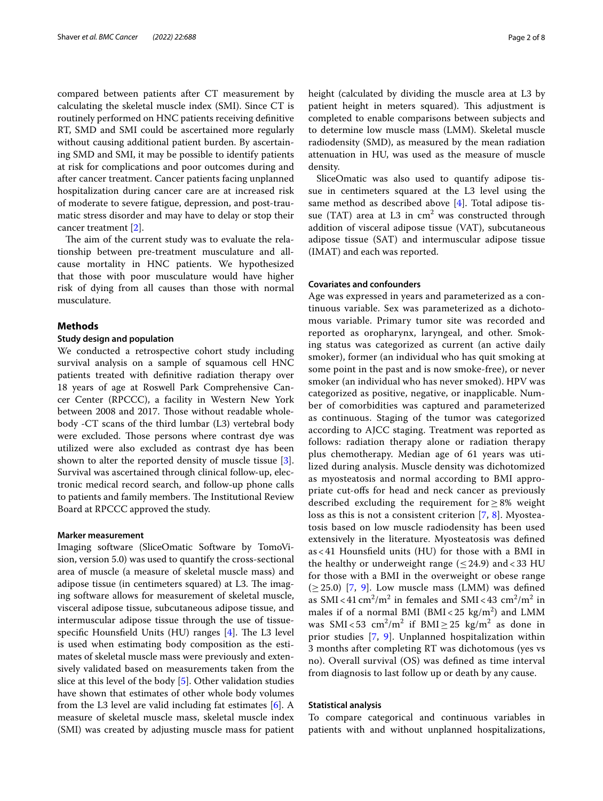compared between patients after CT measurement by calculating the skeletal muscle index (SMI). Since CT is routinely performed on HNC patients receiving defnitive RT, SMD and SMI could be ascertained more regularly without causing additional patient burden. By ascertaining SMD and SMI, it may be possible to identify patients at risk for complications and poor outcomes during and after cancer treatment. Cancer patients facing unplanned hospitalization during cancer care are at increased risk of moderate to severe fatigue, depression, and post-traumatic stress disorder and may have to delay or stop their cancer treatment [[2\]](#page-7-1).

The aim of the current study was to evaluate the relationship between pre-treatment musculature and allcause mortality in HNC patients. We hypothesized that those with poor musculature would have higher risk of dying from all causes than those with normal musculature.

#### **Methods**

#### **Study design and population**

We conducted a retrospective cohort study including survival analysis on a sample of squamous cell HNC patients treated with defnitive radiation therapy over 18 years of age at Roswell Park Comprehensive Cancer Center (RPCCC), a facility in Western New York between 2008 and 2017. Those without readable wholebody -CT scans of the third lumbar (L3) vertebral body were excluded. Those persons where contrast dye was utilized were also excluded as contrast dye has been shown to alter the reported density of muscle tissue [\[3](#page-7-2)]. Survival was ascertained through clinical follow‐up, electronic medical record search, and follow‐up phone calls to patients and family members. The Institutional Review Board at RPCCC approved the study.

#### **Marker measurement**

Imaging software (SliceOmatic Software by TomoVision, version 5.0) was used to quantify the cross-sectional area of muscle (a measure of skeletal muscle mass) and adipose tissue (in centimeters squared) at L3. The imaging software allows for measurement of skeletal muscle, visceral adipose tissue, subcutaneous adipose tissue, and intermuscular adipose tissue through the use of tissuespecific Hounsfield Units (HU) ranges  $[4]$  $[4]$ . The L3 level is used when estimating body composition as the estimates of skeletal muscle mass were previously and extensively validated based on measurements taken from the slice at this level of the body [[5\]](#page-7-4). Other validation studies have shown that estimates of other whole body volumes from the L3 level are valid including fat estimates [\[6](#page-7-5)]. A measure of skeletal muscle mass, skeletal muscle index (SMI) was created by adjusting muscle mass for patient height (calculated by dividing the muscle area at L3 by patient height in meters squared). This adjustment is completed to enable comparisons between subjects and to determine low muscle mass (LMM). Skeletal muscle radiodensity (SMD), as measured by the mean radiation attenuation in HU, was used as the measure of muscle density.

SliceOmatic was also used to quantify adipose tissue in centimeters squared at the L3 level using the same method as described above [\[4](#page-7-3)]. Total adipose tissue (TAT) area at L3 in  $cm<sup>2</sup>$  was constructed through addition of visceral adipose tissue (VAT), subcutaneous adipose tissue (SAT) and intermuscular adipose tissue (IMAT) and each was reported.

#### **Covariates and confounders**

Age was expressed in years and parameterized as a continuous variable. Sex was parameterized as a dichotomous variable. Primary tumor site was recorded and reported as oropharynx, laryngeal, and other. Smoking status was categorized as current (an active daily smoker), former (an individual who has quit smoking at some point in the past and is now smoke-free), or never smoker (an individual who has never smoked). HPV was categorized as positive, negative, or inapplicable. Number of comorbidities was captured and parameterized as continuous. Staging of the tumor was categorized according to AJCC staging. Treatment was reported as follows: radiation therapy alone or radiation therapy plus chemotherapy. Median age of 61 years was utilized during analysis. Muscle density was dichotomized as myosteatosis and normal according to BMI appropriate cut-ofs for head and neck cancer as previously described excluding the requirement for≥8% weight loss as this is not a consistent criterion [[7,](#page-7-6) [8](#page-7-7)]. Myosteatosis based on low muscle radiodensity has been used extensively in the literature. Myosteatosis was defned as < 41 Hounsfeld units (HU) for those with a BMI in the healthy or underweight range  $(\leq 24.9)$  and  $< 33$  HU for those with a BMI in the overweight or obese range  $(\geq 25.0)$  [[7](#page-7-6), [9\]](#page-7-8). Low muscle mass (LMM) was defined as SMI <  $41 \text{ cm}^2/\text{m}^2$  in females and SMI <  $43 \text{ cm}^2/\text{m}^2$  in males if of a normal BMI ( $BMI < 25 \text{ kg/m}^2$ ) and LMM was  $SMI < 53$  cm<sup>2</sup>/m<sup>2</sup> if  $BMI \ge 25$  kg/m<sup>2</sup> as done in prior studies [\[7](#page-7-6), [9](#page-7-8)]. Unplanned hospitalization within 3 months after completing RT was dichotomous (yes vs no). Overall survival (OS) was defned as time interval from diagnosis to last follow up or death by any cause.

#### **Statistical analysis**

To compare categorical and continuous variables in patients with and without unplanned hospitalizations,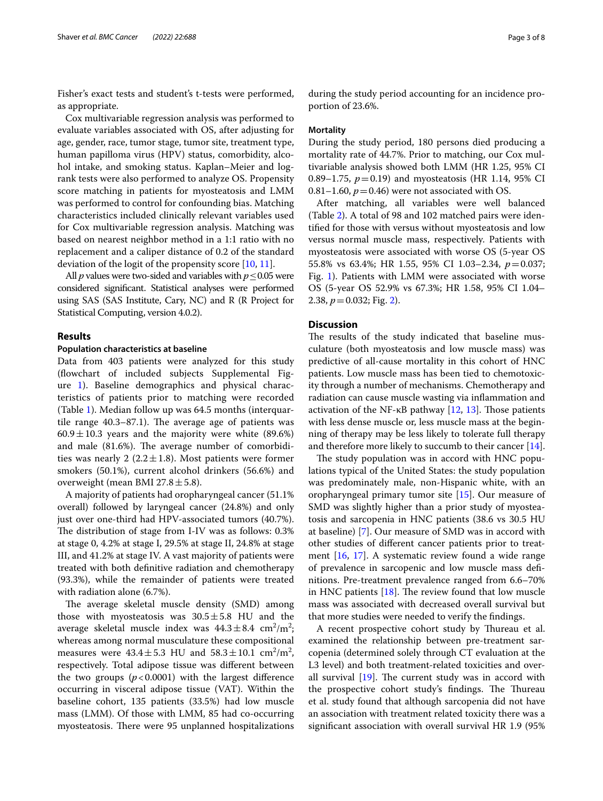Fisher's exact tests and student's t-tests were performed, as appropriate.

Cox multivariable regression analysis was performed to evaluate variables associated with OS, after adjusting for age, gender, race, tumor stage, tumor site, treatment type, human papilloma virus (HPV) status, comorbidity, alcohol intake, and smoking status. Kaplan–Meier and logrank tests were also performed to analyze OS. Propensity score matching in patients for myosteatosis and LMM was performed to control for confounding bias. Matching characteristics included clinically relevant variables used for Cox multivariable regression analysis. Matching was based on nearest neighbor method in a 1:1 ratio with no replacement and a caliper distance of 0.2 of the standard deviation of the logit of the propensity score [\[10](#page-7-9), [11](#page-7-10)].

All  $p$  values were two-sided and variables with  $p \leq 0.05$  were considered signifcant. Statistical analyses were performed using SAS (SAS Institute, Cary, NC) and R (R Project for Statistical Computing, version 4.0.2).

#### **Results**

#### **Population characteristics at baseline**

Data from 403 patients were analyzed for this study (fowchart of included subjects Supplemental Figure [1\)](#page-6-0). Baseline demographics and physical characteristics of patients prior to matching were recorded (Table [1](#page-4-0)). Median follow up was 64.5 months (interquartile range  $40.3-87.1$ ). The average age of patients was  $60.9 \pm 10.3$  years and the majority were white (89.6%) and male (81.6%). The average number of comorbidities was nearly 2 (2.2 $\pm$ 1.8). Most patients were former smokers (50.1%), current alcohol drinkers (56.6%) and overweight (mean BMI  $27.8 \pm 5.8$ ).

A majority of patients had oropharyngeal cancer (51.1% overall) followed by laryngeal cancer (24.8%) and only just over one-third had HPV-associated tumors (40.7%). The distribution of stage from I-IV was as follows: 0.3% at stage 0, 4.2% at stage I, 29.5% at stage II, 24.8% at stage III, and 41.2% at stage IV. A vast majority of patients were treated with both defnitive radiation and chemotherapy (93.3%), while the remainder of patients were treated with radiation alone (6.7%).

The average skeletal muscle density (SMD) among those with myosteatosis was  $30.5 \pm 5.8$  HU and the average skeletal muscle index was  $44.3 \pm 8.4$  cm<sup>2</sup>/m<sup>2</sup>; whereas among normal musculature these compositional measures were  $43.4 \pm 5.3$  HU and  $58.3 \pm 10.1$  cm<sup>2</sup>/m<sup>2</sup>, respectively. Total adipose tissue was diferent between the two groups  $(p<0.0001)$  with the largest difference occurring in visceral adipose tissue (VAT). Within the baseline cohort, 135 patients (33.5%) had low muscle mass (LMM). Of those with LMM, 85 had co-occurring myosteatosis. There were 95 unplanned hospitalizations

during the study period accounting for an incidence proportion of 23.6%.

#### **Mortality**

During the study period, 180 persons died producing a mortality rate of 44.7%. Prior to matching, our Cox multivariable analysis showed both LMM (HR 1.25, 95% CI 0.89–1.75, *p*=0.19) and myosteatosis (HR 1.14, 95% CI 0.81–1.60,  $p = 0.46$ ) were not associated with OS.

After matching, all variables were well balanced (Table [2\)](#page-5-0). A total of 98 and 102 matched pairs were identifed for those with versus without myosteatosis and low versus normal muscle mass, respectively. Patients with myosteatosis were associated with worse OS (5-year OS 55.8% vs 63.4%; HR 1.55, 95% CI 1.03–2.34, *p*=0.037; Fig. [1](#page-3-0)). Patients with LMM were associated with worse OS (5-year OS 52.9% vs 67.3%; HR 1.58, 95% CI 1.04– 2.38,  $p = 0.032$ ; Fig. [2](#page-6-1)).

#### **Discussion**

The results of the study indicated that baseline musculature (both myosteatosis and low muscle mass) was predictive of all-cause mortality in this cohort of HNC patients. Low muscle mass has been tied to chemotoxicity through a number of mechanisms. Chemotherapy and radiation can cause muscle wasting via infammation and activation of the NF- $\kappa$ B pathway [\[12](#page-7-11), [13](#page-7-12)]. Those patients with less dense muscle or, less muscle mass at the beginning of therapy may be less likely to tolerate full therapy and therefore more likely to succumb to their cancer [\[14](#page-7-13)].

The study population was in accord with HNC populations typical of the United States: the study population was predominately male, non-Hispanic white, with an oropharyngeal primary tumor site [[15](#page-7-14)]. Our measure of SMD was slightly higher than a prior study of myosteatosis and sarcopenia in HNC patients (38.6 vs 30.5 HU at baseline) [\[7](#page-7-6)]. Our measure of SMD was in accord with other studies of diferent cancer patients prior to treatment [\[16,](#page-7-15) [17\]](#page-7-16). A systematic review found a wide range of prevalence in sarcopenic and low muscle mass defnitions. Pre-treatment prevalence ranged from 6.6–70% in HNC patients  $[18]$  $[18]$ . The review found that low muscle mass was associated with decreased overall survival but that more studies were needed to verify the fndings.

A recent prospective cohort study by Thureau et al. examined the relationship between pre-treatment sarcopenia (determined solely through CT evaluation at the L3 level) and both treatment-related toxicities and overall survival  $[19]$  $[19]$ . The current study was in accord with the prospective cohort study's findings. The Thureau et al. study found that although sarcopenia did not have an association with treatment related toxicity there was a signifcant association with overall survival HR 1.9 (95%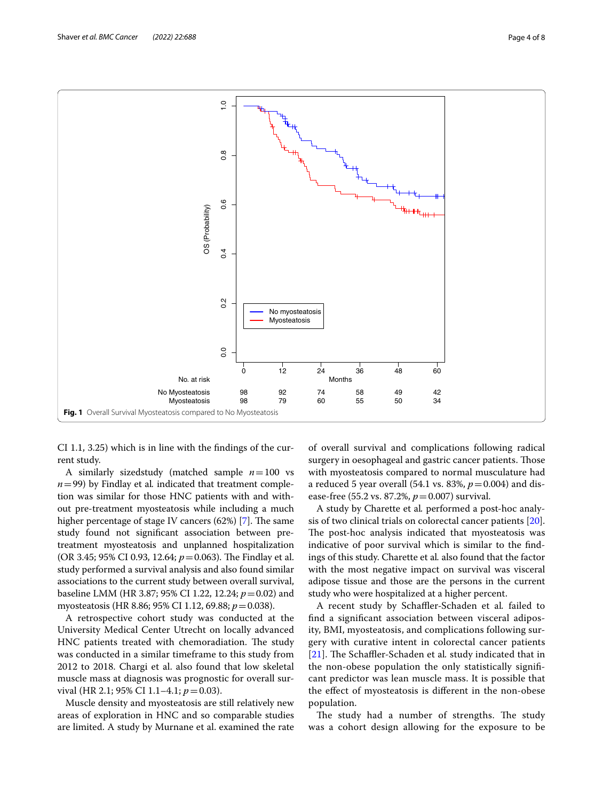

<span id="page-3-0"></span>CI 1.1, 3.25) which is in line with the fndings of the current study.

A similarly sizedstudy (matched sample *n*=100 vs  $n=99$ ) by Findlay et al. indicated that treatment completion was similar for those HNC patients with and without pre-treatment myosteatosis while including a much higher percentage of stage IV cancers  $(62%)$  [\[7](#page-7-6)]. The same study found not signifcant association between pretreatment myosteatosis and unplanned hospitalization (OR 3.45; 95% CI 0.93, 12.64;  $p = 0.063$ ). The Findlay et al. study performed a survival analysis and also found similar associations to the current study between overall survival, baseline LMM (HR 3.87; 95% CI 1.22, 12.24; *p*=0.02) and myosteatosis (HR 8.86; 95% CI 1.12, 69.88; *p*=0.038).

A retrospective cohort study was conducted at the University Medical Center Utrecht on locally advanced HNC patients treated with chemoradiation. The study was conducted in a similar timeframe to this study from 2012 to 2018. Chargi et al. also found that low skeletal muscle mass at diagnosis was prognostic for overall survival (HR 2.1; 95% CI 1.1–4.1; *p* = 0.03).

Muscle density and myosteatosis are still relatively new areas of exploration in HNC and so comparable studies are limited. A study by Murnane et al. examined the rate

of overall survival and complications following radical surgery in oesophageal and gastric cancer patients. Those with myosteatosis compared to normal musculature had a reduced 5 year overall (54.1 vs. 83%,  $p = 0.004$ ) and disease-free (55.2 vs. 87.2%, *p*=0.007) survival.

A study by Charette et al*.* performed a post-hoc analysis of two clinical trials on colorectal cancer patients [\[20](#page-7-19)]. The post-hoc analysis indicated that myosteatosis was indicative of poor survival which is similar to the fndings of this study. Charette et al*.* also found that the factor with the most negative impact on survival was visceral adipose tissue and those are the persons in the current study who were hospitalized at a higher percent.

A recent study by Schaffler-Schaden et al. failed to fnd a signifcant association between visceral adiposity, BMI, myosteatosis, and complications following surgery with curative intent in colorectal cancer patients [[21](#page-7-20)]. The Schaffler-Schaden et al. study indicated that in the non-obese population the only statistically signifcant predictor was lean muscle mass. It is possible that the efect of myosteatosis is diferent in the non-obese population.

The study had a number of strengths. The study was a cohort design allowing for the exposure to be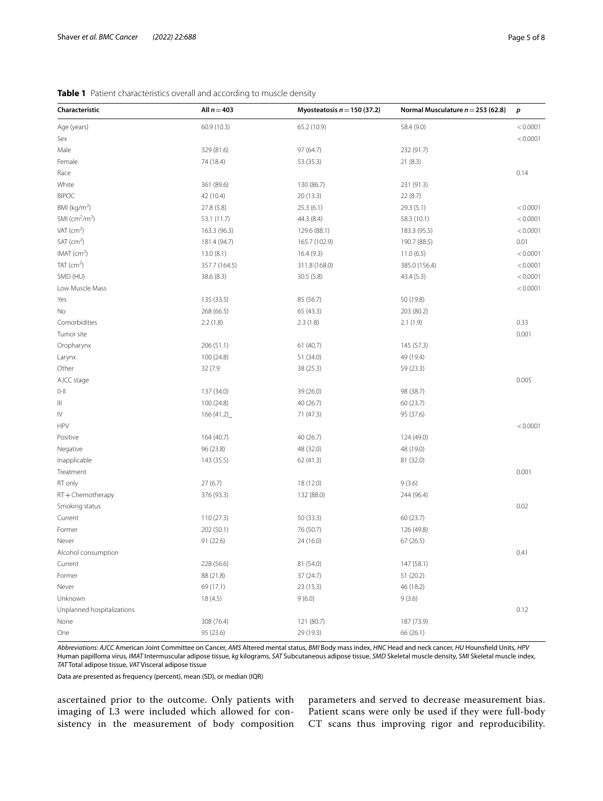| Characteristic             | All $n = 403$ | Myosteatosis $n = 150$ (37.2) | Normal Musculature $n = 253$ (62.8) | $\boldsymbol{p}$ |
|----------------------------|---------------|-------------------------------|-------------------------------------|------------------|
| Age (years)                | 60.9 (10.3)   | 65.2 (10.9)                   | 58.4 (9.0)                          | < 0.0001         |
| Sex                        |               |                               |                                     | < 0.0001         |
| Male                       | 329 (81.6)    | 97 (64.7)                     | 232 (91.7)                          |                  |
| Female                     | 74 (18.4)     | 53 (35.3)                     | 21(8.3)                             |                  |
| Race                       |               |                               |                                     | 0.14             |
| White                      | 361 (89.6)    | 130 (86.7)                    | 231 (91.3)                          |                  |
| <b>BIPOC</b>               | 42 (10.4)     | 20 (13.3)                     | 22(8.7)                             |                  |
| BMI ( $kg/m2$ )            | 27.8 (5.8)    | 25.3(6.1)                     | 29.3 (5.1)                          | < 0.0001         |
| SMI ( $cm2/m2$ )           | 53.1 (11.7)   | 44.3 (8.4)                    | 58.3 (10.1)                         | < 0.0001         |
| VAT $(cm^2)$               | 163.3 (96.3)  | 129.6 (88.1)                  | 183.3 (95.5)                        | < 0.0001         |
| $SAT$ (cm <sup>2</sup> )   | 181.4 (94.7)  | 165.7 (102.9)                 | 190.7 (88.5)                        | 0.01             |
| IMAT $(cm2)$               | 13.0(8.1)     | 16.4(9.3)                     | 11.0(6.5)                           | < 0.0001         |
| TAT $(cm2)$                | 357.7 (164.5) | 311.8 (168.0)                 | 385.0 (156.4)                       | < 0.0001         |
| SMD (HU)                   | 38.6 (8.3)    | 30.5(5.8)                     | 43.4 (5.3)                          | < 0.0001         |
| Low Muscle Mass            |               |                               |                                     | < 0.0001         |
| Yes                        | 135 (33.5)    | 85 (56.7)                     | 50 (19.8)                           |                  |
| No                         | 268 (66.5)    | 65 (43.3)                     | 203 (80.2)                          |                  |
| Comorbidities              | 2.2(1.8)      | 2.3(1.8)                      | 2.1(1.9)                            | 0.33             |
| Tumor site                 |               |                               |                                     | 0.001            |
| Oropharynx                 | 206 (51.1)    | 61 (40.7)                     | 145 (57.3)                          |                  |
| Larynx                     | 100 (24.8)    | 51 (34.0)                     | 49 (19.4)                           |                  |
| Other                      | 32 (7.9       | 38 (25.3)                     | 59 (23.3)                           |                  |
| AJCC stage                 |               |                               |                                     | 0.005            |
| $0 - 11$                   | 137 (34.0)    | 39 (26.0)                     | 98 (38.7)                           |                  |
| Ш                          | 100 (24.8)    | 40 (26.7)                     | 60 (23.7)                           |                  |
| IV                         | 166(41.2)     | 71 (47.3)                     | 95 (37.6)                           |                  |
| <b>HPV</b>                 |               |                               |                                     | < 0.0001         |
| Positive                   | 164 (40.7)    | 40 (26.7)                     | 124 (49.0)                          |                  |
| Negative                   | 96 (23.8)     | 48 (32.0)                     | 48 (19.0)                           |                  |
| Inapplicable               | 143 (35.5)    | 62 (41.3)                     | 81 (32.0)                           |                  |
| Treatment                  |               |                               |                                     | 0.001            |
| RT only                    | 27(6.7)       | 18 (12.0)                     | 9(3.6)                              |                  |
| RT+Chemotherapy            | 376 (93.3)    | 132 (88.0)                    | 244 (96.4)                          |                  |
| Smoking status             |               |                               |                                     | 0.02             |
| Current                    | 110 (27.3)    | 50 (33.3)                     | 60 (23.7)                           |                  |
| Former                     | 202 (50.1)    | 76 (50.7)                     | 126 (49.8)                          |                  |
| Never                      | 91 (22.6)     | 24 (16.0)                     | 67(26.5)                            |                  |
| Alcohol consumption        |               |                               |                                     | 0.41             |
| Current                    | 228 (56.6)    | 81 (54.0)                     | 147 (58.1)                          |                  |
| Former                     | 88 (21.8)     | 37 (24.7)                     | 51 (20.2)                           |                  |
| Never                      | 69 (17.1)     | 23 (15.3)                     | 46 (18.2)                           |                  |
| Unknown                    | 18(4.5)       | 9(6.0)                        | 9(3.6)                              |                  |
| Unplanned hospitalizations |               |                               |                                     | 0.12             |
| None                       | 308 (76.4)    | 121 (80.7)                    | 187 (73.9)                          |                  |
| One                        | 95 (23.6)     | 29 (19.3)                     | 66 (26.1)                           |                  |

#### <span id="page-4-0"></span>**Table 1** Patient characteristics overall and according to muscle density

*Abbreviations*: *AJCC* American Joint Committee on Cancer, *AMS* Altered mental status, *BMI* Body mass index, *HNC* Head and neck cancer, *HU* Hounsfeld Units, *HPV* Human papilloma virus, *IMAT* Intermuscular adipose tissue, *kg* kilograms, *SAT* Subcutaneous adipose tissue, *SMD* Skeletal muscle density, *SMI* Skeletal muscle index, *TAT* Total adipose tissue, *VAT* Visceral adipose tissue

Data are presented as frequency (percent), mean (SD), or median (IQR)

ascertained prior to the outcome. Only patients with imaging of L3 were included which allowed for consistency in the measurement of body composition

parameters and served to decrease measurement bias. Patient scans were only be used if they were full-body CT scans thus improving rigor and reproducibility.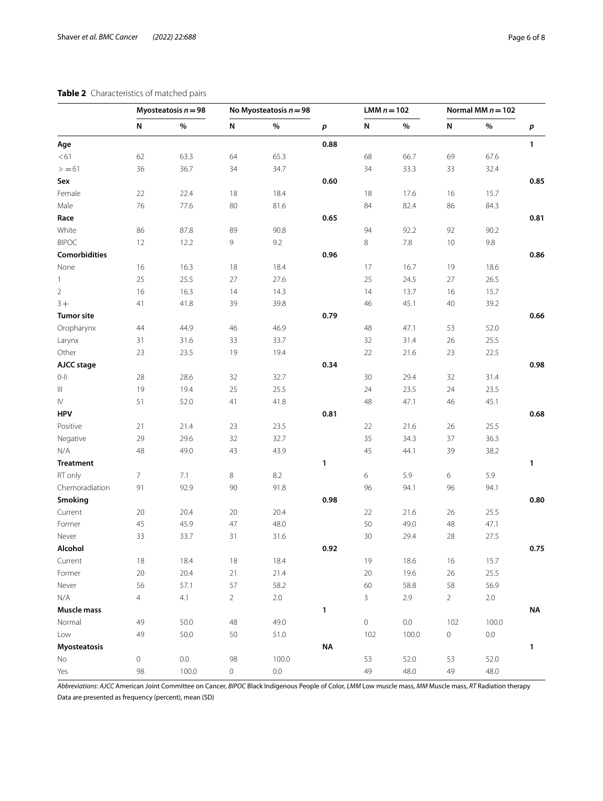#### <span id="page-5-0"></span>**Table 2** Characteristics of

| Table 2 Characteristics of matched pairs |                       |      |                          |      |                  |               |      |                     |      |      |  |
|------------------------------------------|-----------------------|------|--------------------------|------|------------------|---------------|------|---------------------|------|------|--|
|                                          | Myosteatosis $n = 98$ |      | No Myosteatosis $n = 98$ |      |                  | LMM $n = 102$ |      | Normal MM $n = 102$ |      |      |  |
|                                          | N                     | %    | N                        | %    | $\boldsymbol{p}$ | N             | %    | N                   | %    | p    |  |
| Age                                      |                       |      |                          |      | 0.88             |               |      |                     |      | 1    |  |
| < 61                                     | 62                    | 63.3 | 64                       | 65.3 |                  | 68            | 66.7 | 69                  | 67.6 |      |  |
| $> = 61$                                 | 36                    | 36.7 | 34                       | 34.7 |                  | 34            | 33.3 | 33                  | 32.4 |      |  |
| Sex                                      |                       |      |                          |      | 0.60             |               |      |                     |      | 0.85 |  |
| Female                                   | 22                    | 22.4 | 18                       | 18.4 |                  | 18            | 17.6 | 16                  | 15.7 |      |  |
| Male                                     | 76                    | 77.6 | 80                       | 81.6 |                  | 84            | 82.4 | 86                  | 84.3 |      |  |
| Race                                     |                       |      |                          |      | 0.65             |               |      |                     |      | 0.81 |  |
| White                                    | 86                    | 87.8 | 89                       | 90.8 |                  | 94            | 92.2 | 92                  | 90.2 |      |  |
| <b>BIPOC</b>                             | 12                    | 12.2 | 9                        | 9.2  |                  | 8             | 7.8  | 10                  | 9.8  |      |  |
| <b>Comorbidities</b>                     |                       |      |                          |      | 0.96             |               |      |                     |      | 0.86 |  |
| None                                     | 16                    | 16.3 | 18                       | 18.4 |                  | 17            | 16.7 | 19                  | 18.6 |      |  |
| 1                                        | 25                    | 25.5 | 27                       | 27.6 |                  | 25            | 24.5 | 27                  | 26.5 |      |  |
| $\overline{2}$                           | 16                    | 16.3 | 14                       | 14.3 |                  | 14            | 13.7 | 16                  | 15.7 |      |  |
| $3+$                                     | 41                    | 41.8 | 39                       | 39.8 |                  | 46            | 45.1 | 40                  | 39.2 |      |  |
| Tumor site                               |                       |      |                          |      | 0.79             |               |      |                     |      | 0.66 |  |
| Oropharynx                               | 44                    | 44.9 | 46                       | 46.9 |                  | 48            | 47.1 | 53                  | 52.0 |      |  |
| Larynx                                   | 31                    | 31.6 | 33                       | 33.7 |                  | 32            | 31.4 | 26                  | 25.5 |      |  |
| Other                                    | 23                    | 23.5 | 19                       | 19.4 |                  | 22            | 21.6 | 23                  | 22.5 |      |  |
| AJCC stage                               |                       |      |                          |      | 0.34             |               |      |                     |      | 0.98 |  |
| $0 - 11$                                 | 28                    | 28.6 | 32                       | 32.7 |                  | 30            | 29.4 | 32                  | 31.4 |      |  |
| Ш                                        | 19                    | 19.4 | 25                       | 25.5 |                  | 24            | 23.5 | 24                  | 23.5 |      |  |
| IV                                       | 51                    | 52.0 | 41                       | 41.8 |                  | 48            | 47.1 | 46                  | 45.1 |      |  |

*Abbreviations*: *AJCC* American Joint Committee on Cancer, *BIPOC* Black Indigenous People of Color, *LMM* Low muscle mass, *MM* Muscle mass, *RT* Radiation therapy Data are presented as frequency (percent), mean (SD)

**Myosteatosis NA 1**

**HPV 0.81 0.68**

**Treatment 1 1**

**Smoking 0.98 0.80**

**Alcohol 0.92 0.75**

**Muscle mass 1 NA**

Positive 21 21.4 23 23.5 22 21.6 26 25.5 Negative 29 29.6 32 32.7 35 34.3 37 36.3 N/A 48 49.0 43 43.9 45 44.1 39 38.2

RT only 7 7.1 8 8.2 6 5.9 6 5.9 Chemoradiation 91 92.9 90 91.8 96 94.1 96 94.1

Current 20 20.4 20 20.4 22 21.6 26 25.5 Former 45 45.9 47 48.0 50 49.0 48 47.1 Never 33 33.7 31 31.6 30 29.4 28 27.5

Current 18 18.4 18 18.4 19 18.6 16 15.7 Former 20 20.4 21 21.4 20 19.6 26 25.5 Never 56 57.1 57 58.2 60 58.8 58 56.9 N/A 4 4.1 2 2.0 3 2.9 2 2.0

Normal 49 50.0 48 49.0 0 0.0 102 100.0 Low 49 50.0 50 51.0 102 100.0 0 0.0

No 0 0.0 98 100.0 53 52.0 53 52.0 Yes 98 100.0 0 0.0 49 48.0 49 48.0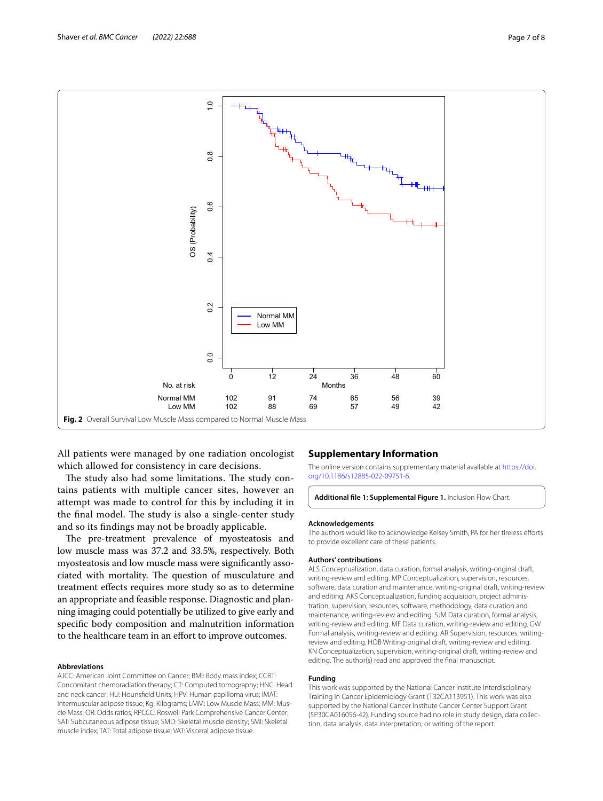

<span id="page-6-1"></span>All patients were managed by one radiation oncologist which allowed for consistency in care decisions.

The study also had some limitations. The study contains patients with multiple cancer sites, however an attempt was made to control for this by including it in the final model. The study is also a single-center study and so its fndings may not be broadly applicable.

The pre-treatment prevalence of myosteatosis and low muscle mass was 37.2 and 33.5%, respectively. Both myosteatosis and low muscle mass were signifcantly associated with mortality. The question of musculature and treatment efects requires more study so as to determine an appropriate and feasible response. Diagnostic and planning imaging could potentially be utilized to give early and specifc body composition and malnutrition information to the healthcare team in an effort to improve outcomes.

#### **Abbreviations**

AJCC: American Joint Committee on Cancer; BMI: Body mass index; CCRT: Concomitant chemoradiation therapy; CT: Computed tomography; HNC: Head and neck cancer; HU: Hounsfeld Units; HPV: Human papilloma virus; IMAT: Intermuscular adipose tissue; Kg: Kilograms; LMM: Low Muscle Mass; MM: Mus‑ cle Mass; OR: Odds ratios; RPCCC: Roswell Park Comprehensive Cancer Center; SAT: Subcutaneous adipose tissue; SMD: Skeletal muscle density; SMI: Skeletal muscle index; TAT: Total adipose tissue; VAT: Visceral adipose tissue.

#### **Supplementary Information**

The online version contains supplementary material available at [https://doi.](https://doi.org/10.1186/s12885-022-09751-6) [org/10.1186/s12885-022-09751-6](https://doi.org/10.1186/s12885-022-09751-6).

<span id="page-6-0"></span>**Additional fle 1: Supplemental Figure 1.** Inclusion Flow Chart.

#### **Acknowledgements**

The authors would like to acknowledge Kelsey Smith, PA for her tireless efforts to provide excellent care of these patients.

#### **Authors' contributions**

ALS Conceptualization, data curation, formal analysis, writing-original draft, writing-review and editing. MP Conceptualization, supervision, resources, software, data curation and maintenance, writing-original draft, writing-review and editing. AKS Conceptualization, funding acquisition, project administration, supervision, resources, software, methodology, data curation and maintenance, writing-review and editing. SJM Data curation, formal analysis, writing-review and editing. MF Data curation, writing-review and editing. GW Formal analysis, writing-review and editing. AR Supervision, resources, writingreview and editing. HOB Writing-original draft, writing-review and editing. KN Conceptualization, supervision, writing-original draft, writing-review and editing. The author(s) read and approved the fnal manuscript.

#### **Funding**

This work was supported by the National Cancer Institute Interdisciplinary Training in Cancer Epidemiology Grant (T32CA113951). This work was also supported by the National Cancer Institute Cancer Center Support Grant (5P30CA016056-42). Funding source had no role in study design, data collec‑ tion, data analysis, data interpretation, or writing of the report.